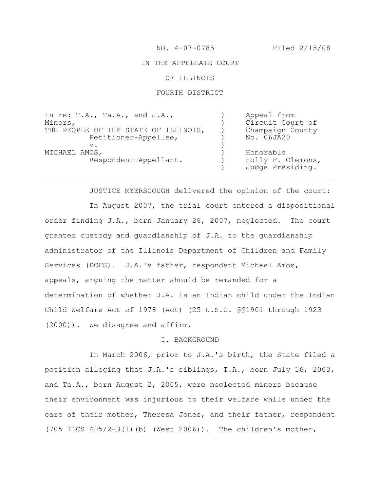#### IN THE APPELLATE COURT

## OF ILLINOIS

# FOURTH DISTRICT

| Appeal from                           |
|---------------------------------------|
| Circuit Court of                      |
| Champaign County                      |
| No. 06JA20                            |
|                                       |
| Honorable                             |
| Holly F. Clemons,<br>Judge Presiding. |
|                                       |

JUSTICE MYERSCOUGH delivered the opinion of the court:

In August 2007, the trial court entered a dispositional order finding J.A., born January 26, 2007, neglected. The court granted custody and guardianship of J.A. to the guardianship administrator of the Illinois Department of Children and Family Services (DCFS). J.A.'s father, respondent Michael Amos, appeals, arguing the matter should be remanded for a determination of whether J.A. is an Indian child under the Indian Child Welfare Act of 1978 (Act) (25 U.S.C. §§1901 through 1923 (2000)). We disagree and affirm.

#### I. BACKGROUND

In March 2006, prior to J.A.'s birth, the State filed a petition alleging that J.A.'s siblings, T.A., born July 16, 2003, and Ta.A., born August 2, 2005, were neglected minors because their environment was injurious to their welfare while under the care of their mother, Theresa Jones, and their father, respondent (705 ILCS 405/2-3(1)(b) (West 2006)). The children's mother,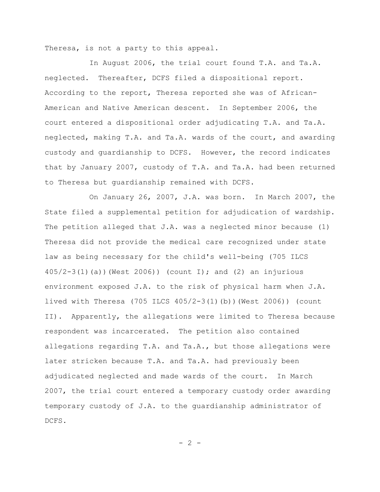Theresa, is not a party to this appeal.

In August 2006, the trial court found T.A. and Ta.A. neglected. Thereafter, DCFS filed a dispositional report. According to the report, Theresa reported she was of African-American and Native American descent. In September 2006, the court entered a dispositional order adjudicating T.A. and Ta.A. neglected, making T.A. and Ta.A. wards of the court, and awarding custody and guardianship to DCFS. However, the record indicates that by January 2007, custody of T.A. and Ta.A. had been returned to Theresa but guardianship remained with DCFS.

On January 26, 2007, J.A. was born. In March 2007, the State filed a supplemental petition for adjudication of wardship. The petition alleged that  $J.A.$  was a neglected minor because (1) Theresa did not provide the medical care recognized under state law as being necessary for the child's well-being (705 ILCS 405/2-3(1)(a))(West 2006)) (count I); and (2) an injurious environment exposed J.A. to the risk of physical harm when J.A. lived with Theresa (705 ILCS 405/2-3(1)(b))(West 2006)) (count II). Apparently, the allegations were limited to Theresa because respondent was incarcerated. The petition also contained allegations regarding T.A. and Ta.A., but those allegations were later stricken because T.A. and Ta.A. had previously been adjudicated neglected and made wards of the court. In March 2007, the trial court entered a temporary custody order awarding temporary custody of J.A. to the guardianship administrator of DCFS.

 $- 2 -$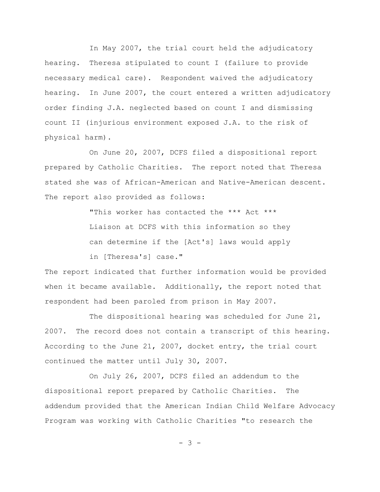In May 2007, the trial court held the adjudicatory hearing. Theresa stipulated to count I (failure to provide necessary medical care). Respondent waived the adjudicatory hearing. In June 2007, the court entered a written adjudicatory order finding J.A. neglected based on count I and dismissing count II (injurious environment exposed J.A. to the risk of physical harm).

On June 20, 2007, DCFS filed a dispositional report prepared by Catholic Charities. The report noted that Theresa stated she was of African-American and Native-American descent. The report also provided as follows:

> "This worker has contacted the \*\*\* Act \*\*\* Liaison at DCFS with this information so they can determine if the [Act's] laws would apply in [Theresa's] case."

The report indicated that further information would be provided when it became available. Additionally, the report noted that respondent had been paroled from prison in May 2007.

The dispositional hearing was scheduled for June 21, 2007. The record does not contain a transcript of this hearing. According to the June 21, 2007, docket entry, the trial court continued the matter until July 30, 2007.

On July 26, 2007, DCFS filed an addendum to the dispositional report prepared by Catholic Charities. The addendum provided that the American Indian Child Welfare Advocacy Program was working with Catholic Charities "to research the

- 3 -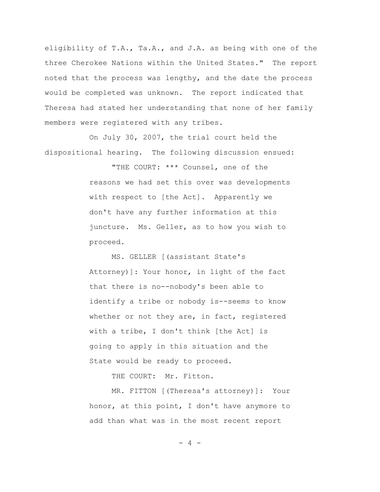eligibility of T.A., Ta.A., and J.A. as being with one of the three Cherokee Nations within the United States." The report noted that the process was lengthy, and the date the process would be completed was unknown. The report indicated that Theresa had stated her understanding that none of her family members were registered with any tribes.

On July 30, 2007, the trial court held the dispositional hearing. The following discussion ensued:

> "THE COURT: \*\*\* Counsel, one of the reasons we had set this over was developments with respect to [the Act]. Apparently we don't have any further information at this juncture. Ms. Geller, as to how you wish to proceed.

MS. GELLER [(assistant State's Attorney)]: Your honor, in light of the fact that there is no--nobody's been able to identify a tribe or nobody is--seems to know whether or not they are, in fact, registered with a tribe, I don't think [the Act] is going to apply in this situation and the State would be ready to proceed.

THE COURT: Mr. Fitton.

MR. FITTON [(Theresa's attorney)]: Your honor, at this point, I don't have anymore to add than what was in the most recent report

 $- 4 -$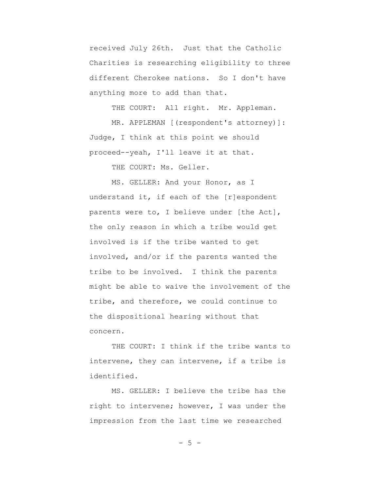received July 26th. Just that the Catholic Charities is researching eligibility to three different Cherokee nations. So I don't have anything more to add than that.

THE COURT: All right. Mr. Appleman.

MR. APPLEMAN [(respondent's attorney)]: Judge, I think at this point we should proceed--yeah, I'll leave it at that.

THE COURT: Ms. Geller.

MS. GELLER: And your Honor, as I understand it, if each of the [r]espondent parents were to, I believe under [the Act], the only reason in which a tribe would get involved is if the tribe wanted to get involved, and/or if the parents wanted the tribe to be involved. I think the parents might be able to waive the involvement of the tribe, and therefore, we could continue to the dispositional hearing without that concern.

THE COURT: I think if the tribe wants to intervene, they can intervene, if a tribe is identified.

MS. GELLER: I believe the tribe has the right to intervene; however, I was under the impression from the last time we researched

 $-5 -$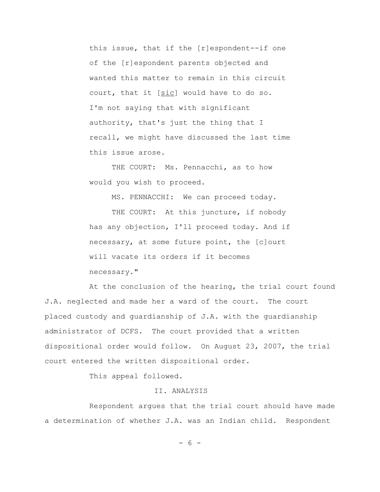this issue, that if the [r]espondent--if one of the [r]espondent parents objected and wanted this matter to remain in this circuit court, that it [sic] would have to do so. I'm not saying that with significant authority, that's just the thing that I recall, we might have discussed the last time this issue arose.

THE COURT: Ms. Pennacchi, as to how would you wish to proceed.

MS. PENNACCHI: We can proceed today.

THE COURT: At this juncture, if nobody has any objection, I'll proceed today. And if necessary, at some future point, the [c]ourt will vacate its orders if it becomes necessary."

At the conclusion of the hearing, the trial court found J.A. neglected and made her a ward of the court. The court placed custody and guardianship of J.A. with the guardianship administrator of DCFS. The court provided that a written dispositional order would follow. On August 23, 2007, the trial court entered the written dispositional order.

This appeal followed.

## II. ANALYSIS

Respondent argues that the trial court should have made a determination of whether J.A. was an Indian child. Respondent

- 6 -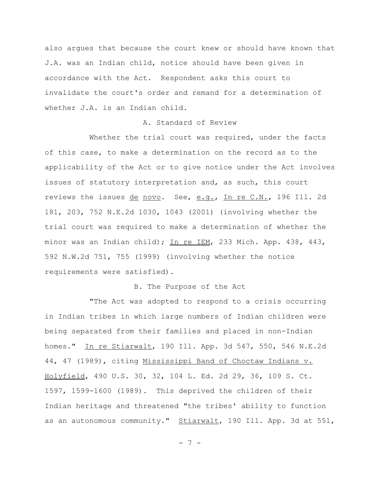also argues that because the court knew or should have known that J.A. was an Indian child, notice should have been given in accordance with the Act. Respondent asks this court to invalidate the court's order and remand for a determination of whether J.A. is an Indian child.

# A. Standard of Review

Whether the trial court was required, under the facts of this case, to make a determination on the record as to the applicability of the Act or to give notice under the Act involves issues of statutory interpretation and, as such, this court reviews the issues de novo. See, e.g., In re C.N., 196 Ill. 2d 181, 203, 752 N.E.2d 1030, 1043 (2001) (involving whether the trial court was required to make a determination of whether the minor was an Indian child); In re IEM, 233 Mich. App. 438, 443, 592 N.W.2d 751, 755 (1999) (involving whether the notice requirements were satisfied).

#### B. The Purpose of the Act

"The Act was adopted to respond to a crisis occurring in Indian tribes in which large numbers of Indian children were being separated from their families and placed in non-Indian homes." In re Stiarwalt, 190 Ill. App. 3d 547, 550, 546 N.E.2d 44, 47 (1989), citing Mississippi Band of Choctaw Indians v. Holyfield, 490 U.S. 30, 32, 104 L. Ed. 2d 29, 36, 109 S. Ct. 1597, 1599-1600 (1989). This deprived the children of their Indian heritage and threatened "the tribes' ability to function as an autonomous community." Stiarwalt, 190 Ill. App. 3d at 551,

- 7 -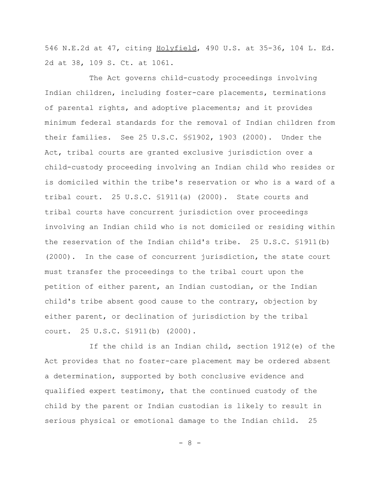546 N.E.2d at 47, citing Holyfield, 490 U.S. at 35-36, 104 L. Ed. 2d at 38, 109 S. Ct. at 1061.

The Act governs child-custody proceedings involving Indian children, including foster-care placements, terminations of parental rights, and adoptive placements; and it provides minimum federal standards for the removal of Indian children from their families. See 25 U.S.C. §§1902, 1903 (2000). Under the Act, tribal courts are granted exclusive jurisdiction over a child-custody proceeding involving an Indian child who resides or is domiciled within the tribe's reservation or who is a ward of a tribal court. 25 U.S.C. §1911(a) (2000). State courts and tribal courts have concurrent jurisdiction over proceedings involving an Indian child who is not domiciled or residing within the reservation of the Indian child's tribe. 25 U.S.C. §1911(b) (2000). In the case of concurrent jurisdiction, the state court must transfer the proceedings to the tribal court upon the petition of either parent, an Indian custodian, or the Indian child's tribe absent good cause to the contrary, objection by either parent, or declination of jurisdiction by the tribal court. 25 U.S.C. §1911(b) (2000).

If the child is an Indian child, section 1912(e) of the Act provides that no foster-care placement may be ordered absent a determination, supported by both conclusive evidence and qualified expert testimony, that the continued custody of the child by the parent or Indian custodian is likely to result in serious physical or emotional damage to the Indian child. 25

- 8 -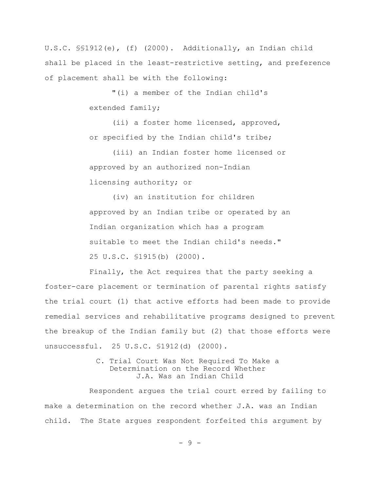U.S.C. §§1912(e), (f) (2000). Additionally, an Indian child shall be placed in the least-restrictive setting, and preference of placement shall be with the following:

> "(i) a member of the Indian child's extended family;

(ii) a foster home licensed, approved, or specified by the Indian child's tribe;

(iii) an Indian foster home licensed or approved by an authorized non-Indian licensing authority; or

(iv) an institution for children approved by an Indian tribe or operated by an Indian organization which has a program suitable to meet the Indian child's needs." 25 U.S.C. §1915(b) (2000).

Finally, the Act requires that the party seeking a foster-care placement or termination of parental rights satisfy the trial court (1) that active efforts had been made to provide remedial services and rehabilitative programs designed to prevent the breakup of the Indian family but (2) that those efforts were unsuccessful. 25 U.S.C. §1912(d) (2000).

> C. Trial Court Was Not Required To Make a Determination on the Record Whether J.A. Was an Indian Child

Respondent argues the trial court erred by failing to make a determination on the record whether J.A. was an Indian child. The State argues respondent forfeited this argument by

- 9 -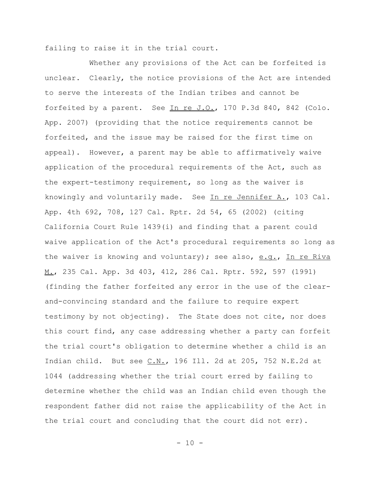failing to raise it in the trial court.

Whether any provisions of the Act can be forfeited is unclear. Clearly, the notice provisions of the Act are intended to serve the interests of the Indian tribes and cannot be forfeited by a parent. See In re J.O., 170 P.3d 840, 842 (Colo. App. 2007) (providing that the notice requirements cannot be forfeited, and the issue may be raised for the first time on appeal). However, a parent may be able to affirmatively waive application of the procedural requirements of the Act, such as the expert-testimony requirement, so long as the waiver is knowingly and voluntarily made. See In re Jennifer  $A_{.}$ , 103 Cal. App. 4th 692, 708, 127 Cal. Rptr. 2d 54, 65 (2002) (citing California Court Rule 1439(i) and finding that a parent could waive application of the Act's procedural requirements so long as the waiver is knowing and voluntary); see also, e.g., In re Riva M., 235 Cal. App. 3d 403, 412, 286 Cal. Rptr. 592, 597 (1991) (finding the father forfeited any error in the use of the clearand-convincing standard and the failure to require expert testimony by not objecting). The State does not cite, nor does this court find, any case addressing whether a party can forfeit the trial court's obligation to determine whether a child is an Indian child. But see  $C.N.,$  196 Ill. 2d at 205, 752 N.E.2d at 1044 (addressing whether the trial court erred by failing to determine whether the child was an Indian child even though the respondent father did not raise the applicability of the Act in the trial court and concluding that the court did not err).

 $- 10 -$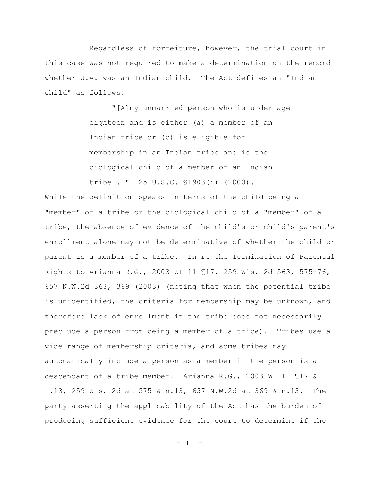Regardless of forfeiture, however, the trial court in this case was not required to make a determination on the record whether J.A. was an Indian child. The Act defines an "Indian child" as follows:

> "[A]ny unmarried person who is under age eighteen and is either (a) a member of an Indian tribe or (b) is eligible for membership in an Indian tribe and is the biological child of a member of an Indian tribe[.]" 25 U.S.C. §1903(4) (2000).

While the definition speaks in terms of the child being a "member" of a tribe or the biological child of a "member" of a tribe, the absence of evidence of the child's or child's parent's enrollment alone may not be determinative of whether the child or parent is a member of a tribe. In re the Termination of Parental Rights to Arianna R.G., 2003 WI 11 ¶17, 259 Wis. 2d 563, 575-76, 657 N.W.2d 363, 369 (2003) (noting that when the potential tribe is unidentified, the criteria for membership may be unknown, and therefore lack of enrollment in the tribe does not necessarily preclude a person from being a member of a tribe). Tribes use a wide range of membership criteria, and some tribes may automatically include a person as a member if the person is a descendant of a tribe member. Arianna R.G., 2003 WI 11 ¶17 & n.13, 259 Wis. 2d at 575 & n.13, 657 N.W.2d at 369 & n.13. The party asserting the applicability of the Act has the burden of producing sufficient evidence for the court to determine if the

 $- 11 -$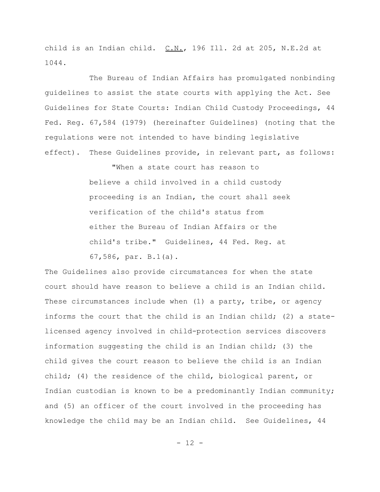child is an Indian child.  $C.N.,$  196 Ill. 2d at 205, N.E.2d at 1044.

The Bureau of Indian Affairs has promulgated nonbinding guidelines to assist the state courts with applying the Act. See Guidelines for State Courts: Indian Child Custody Proceedings, 44 Fed. Reg. 67,584 (1979) (hereinafter Guidelines) (noting that the regulations were not intended to have binding legislative effect). These Guidelines provide, in relevant part, as follows:

> "When a state court has reason to believe a child involved in a child custody proceeding is an Indian, the court shall seek verification of the child's status from either the Bureau of Indian Affairs or the child's tribe." Guidelines, 44 Fed. Reg. at 67,586, par. B.1(a).

The Guidelines also provide circumstances for when the state court should have reason to believe a child is an Indian child. These circumstances include when (1) a party, tribe, or agency informs the court that the child is an Indian child; (2) a statelicensed agency involved in child-protection services discovers information suggesting the child is an Indian child; (3) the child gives the court reason to believe the child is an Indian child; (4) the residence of the child, biological parent, or Indian custodian is known to be a predominantly Indian community; and (5) an officer of the court involved in the proceeding has knowledge the child may be an Indian child. See Guidelines, 44

 $- 12 -$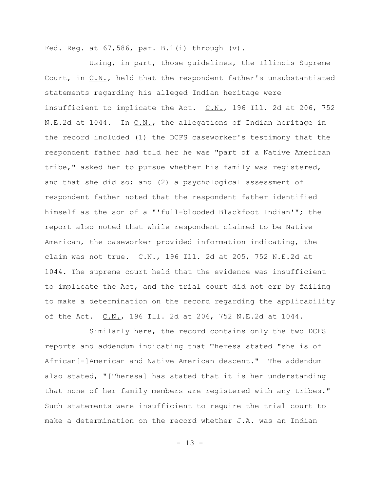Fed. Reg. at  $67,586$ , par. B.1(i) through (v).

Using, in part, those guidelines, the Illinois Supreme Court, in  $C.N.$ , held that the respondent father's unsubstantiated statements regarding his alleged Indian heritage were insufficient to implicate the Act.  $C.N.,$  196 Ill. 2d at 206, 752 N.E.2d at 1044. In C.N., the allegations of Indian heritage in the record included (1) the DCFS caseworker's testimony that the respondent father had told her he was "part of a Native American tribe," asked her to pursue whether his family was registered, and that she did so; and (2) a psychological assessment of respondent father noted that the respondent father identified himself as the son of a "'full-blooded Blackfoot Indian'"; the report also noted that while respondent claimed to be Native American, the caseworker provided information indicating, the claim was not true. C.N., 196 Ill. 2d at 205, 752 N.E.2d at 1044. The supreme court held that the evidence was insufficient to implicate the Act, and the trial court did not err by failing to make a determination on the record regarding the applicability of the Act. C.N., 196 Ill. 2d at 206, 752 N.E.2d at 1044.

Similarly here, the record contains only the two DCFS reports and addendum indicating that Theresa stated "she is of African[-]American and Native American descent." The addendum also stated, "[Theresa] has stated that it is her understanding that none of her family members are registered with any tribes." Such statements were insufficient to require the trial court to make a determination on the record whether J.A. was an Indian

- 13 -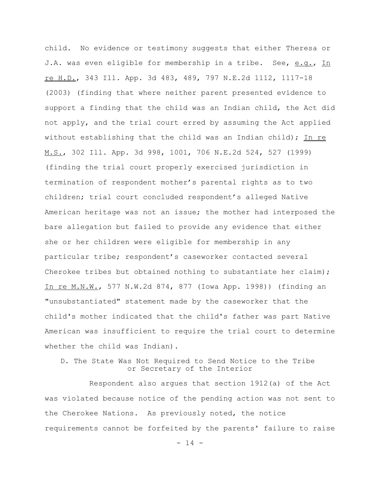child. No evidence or testimony suggests that either Theresa or J.A. was even eligible for membership in a tribe. See, e.g., In re H.D., 343 Ill. App. 3d 483, 489, 797 N.E.2d 1112, 1117-18 (2003) (finding that where neither parent presented evidence to support a finding that the child was an Indian child, the Act did not apply, and the trial court erred by assuming the Act applied without establishing that the child was an Indian child); In re M.S., 302 Ill. App. 3d 998, 1001, 706 N.E.2d 524, 527 (1999) (finding the trial court properly exercised jurisdiction in termination of respondent mother's parental rights as to two children; trial court concluded respondent's alleged Native American heritage was not an issue; the mother had interposed the bare allegation but failed to provide any evidence that either she or her children were eligible for membership in any particular tribe; respondent's caseworker contacted several Cherokee tribes but obtained nothing to substantiate her claim); In re M.N.W., 577 N.W.2d 874, 877 (Iowa App. 1998)) (finding an "unsubstantiated" statement made by the caseworker that the child's mother indicated that the child's father was part Native American was insufficient to require the trial court to determine whether the child was Indian).

# D. The State Was Not Required to Send Notice to the Tribe or Secretary of the Interior

Respondent also argues that section 1912(a) of the Act was violated because notice of the pending action was not sent to the Cherokee Nations. As previously noted, the notice requirements cannot be forfeited by the parents' failure to raise

 $- 14 -$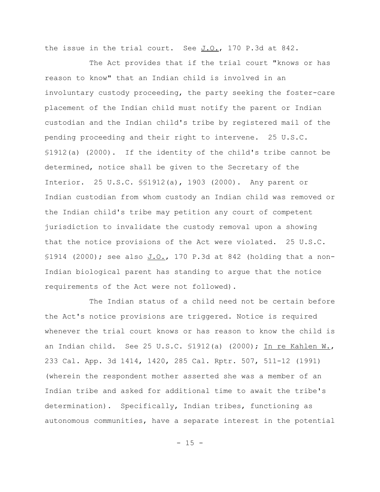the issue in the trial court. See  $J.O., 170 P.3d$  at 842.

The Act provides that if the trial court "knows or has reason to know" that an Indian child is involved in an involuntary custody proceeding, the party seeking the foster-care placement of the Indian child must notify the parent or Indian custodian and the Indian child's tribe by registered mail of the pending proceeding and their right to intervene. 25 U.S.C. §1912(a) (2000). If the identity of the child's tribe cannot be determined, notice shall be given to the Secretary of the Interior. 25 U.S.C. §§1912(a), 1903 (2000). Any parent or Indian custodian from whom custody an Indian child was removed or the Indian child's tribe may petition any court of competent jurisdiction to invalidate the custody removal upon a showing that the notice provisions of the Act were violated. 25 U.S.C. §1914 (2000); see also J.O., 170 P.3d at 842 (holding that a non-Indian biological parent has standing to argue that the notice requirements of the Act were not followed).

The Indian status of a child need not be certain before the Act's notice provisions are triggered. Notice is required whenever the trial court knows or has reason to know the child is an Indian child. See 25 U.S.C.  $$1912(a)$  (2000); In re Kahlen W., 233 Cal. App. 3d 1414, 1420, 285 Cal. Rptr. 507, 511-12 (1991) (wherein the respondent mother asserted she was a member of an Indian tribe and asked for additional time to await the tribe's determination). Specifically, Indian tribes, functioning as autonomous communities, have a separate interest in the potential

 $- 15 -$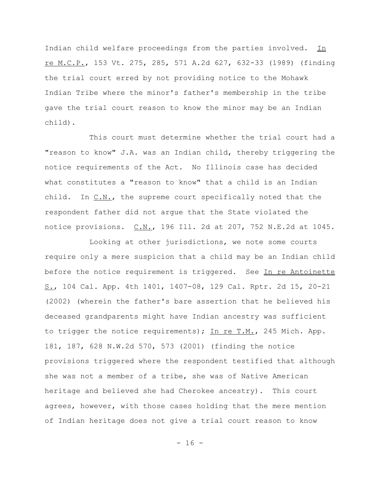Indian child welfare proceedings from the parties involved. In re M.C.P., 153 Vt. 275, 285, 571 A.2d 627, 632-33 (1989) (finding the trial court erred by not providing notice to the Mohawk Indian Tribe where the minor's father's membership in the tribe gave the trial court reason to know the minor may be an Indian child).

This court must determine whether the trial court had a "reason to know" J.A. was an Indian child, thereby triggering the notice requirements of the Act. No Illinois case has decided what constitutes a "reason to know" that a child is an Indian child. In  $C.N.,$  the supreme court specifically noted that the respondent father did not argue that the State violated the notice provisions.  $C.N.,$  196 Ill. 2d at 207, 752 N.E.2d at 1045.

Looking at other jurisdictions, we note some courts require only a mere suspicion that a child may be an Indian child before the notice requirement is triggered. See In re Antoinette S., 104 Cal. App. 4th 1401, 1407-08, 129 Cal. Rptr. 2d 15, 20-21 (2002) (wherein the father's bare assertion that he believed his deceased grandparents might have Indian ancestry was sufficient to trigger the notice requirements); In re T.M., 245 Mich. App. 181, 187, 628 N.W.2d 570, 573 (2001) (finding the notice provisions triggered where the respondent testified that although she was not a member of a tribe, she was of Native American heritage and believed she had Cherokee ancestry). This court agrees, however, with those cases holding that the mere mention of Indian heritage does not give a trial court reason to know

- 16 -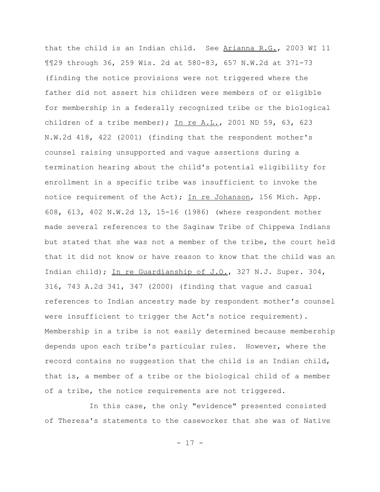that the child is an Indian child. See Arianna R.G., 2003 WI 11 ¶¶29 through 36, 259 Wis. 2d at 580-83, 657 N.W.2d at 371-73 (finding the notice provisions were not triggered where the father did not assert his children were members of or eligible for membership in a federally recognized tribe or the biological children of a tribe member); In re  $A.L., 2001$  ND 59, 63, 623 N.W.2d 418, 422 (2001) (finding that the respondent mother's counsel raising unsupported and vague assertions during a termination hearing about the child's potential eligibility for enrollment in a specific tribe was insufficient to invoke the notice requirement of the Act); In re Johanson, 156 Mich. App. 608, 613, 402 N.W.2d 13, 15-16 (1986) (where respondent mother made several references to the Saginaw Tribe of Chippewa Indians but stated that she was not a member of the tribe, the court held that it did not know or have reason to know that the child was an Indian child); In re Guardianship of J.O., 327 N.J. Super. 304, 316, 743 A.2d 341, 347 (2000) (finding that vague and casual references to Indian ancestry made by respondent mother's counsel were insufficient to trigger the Act's notice requirement). Membership in a tribe is not easily determined because membership depends upon each tribe's particular rules. However, where the record contains no suggestion that the child is an Indian child, that is, a member of a tribe or the biological child of a member of a tribe, the notice requirements are not triggered.

In this case, the only "evidence" presented consisted of Theresa's statements to the caseworker that she was of Native

- 17 -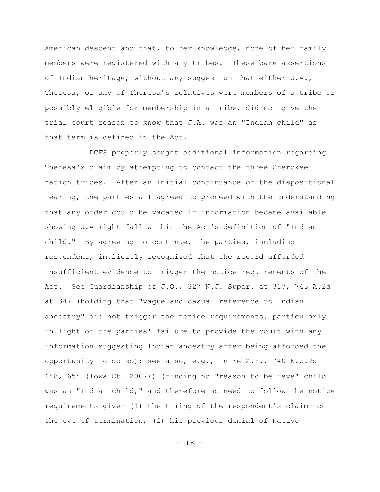American descent and that, to her knowledge, none of her family members were registered with any tribes. These bare assertions of Indian heritage, without any suggestion that either J.A., Theresa, or any of Theresa's relatives were members of a tribe or possibly eligible for membership in a tribe, did not give the trial court reason to know that J.A. was an "Indian child" as that term is defined in the Act.

DCFS properly sought additional information regarding Theresa's claim by attempting to contact the three Cherokee nation tribes. After an initial continuance of the dispositional hearing, the parties all agreed to proceed with the understanding that any order could be vacated if information became available showing J.A might fall within the Act's definition of "Indian child." By agreeing to continue, the parties, including respondent, implicitly recognized that the record afforded insufficient evidence to trigger the notice requirements of the Act. See Guardianship of J.O., 327 N.J. Super. at 317, 743 A.2d at 347 (holding that "vague and casual reference to Indian ancestry" did not trigger the notice requirements, particularly in light of the parties' failure to provide the court with any information suggesting Indian ancestry after being afforded the opportunity to do so); see also, e.g., In re Z.H., 740 N.W.2d 648, 654 (Iowa Ct. 2007)) (finding no "reason to believe" child was an "Indian child," and therefore no need to follow the notice requirements given (1) the timing of the respondent's claim--on the eve of termination, (2) his previous denial of Native

- 18 -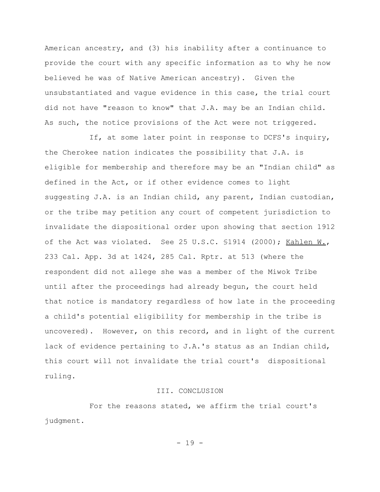American ancestry, and (3) his inability after a continuance to provide the court with any specific information as to why he now believed he was of Native American ancestry). Given the unsubstantiated and vague evidence in this case, the trial court did not have "reason to know" that J.A. may be an Indian child. As such, the notice provisions of the Act were not triggered.

If, at some later point in response to DCFS's inquiry, the Cherokee nation indicates the possibility that J.A. is eligible for membership and therefore may be an "Indian child" as defined in the Act, or if other evidence comes to light suggesting J.A. is an Indian child, any parent, Indian custodian, or the tribe may petition any court of competent jurisdiction to invalidate the dispositional order upon showing that section 1912 of the Act was violated. See 25 U.S.C. \$1914 (2000); Kahlen W., 233 Cal. App. 3d at 1424, 285 Cal. Rptr. at 513 (where the respondent did not allege she was a member of the Miwok Tribe until after the proceedings had already begun, the court held that notice is mandatory regardless of how late in the proceeding a child's potential eligibility for membership in the tribe is uncovered). However, on this record, and in light of the current lack of evidence pertaining to J.A.'s status as an Indian child, this court will not invalidate the trial court's dispositional ruling.

#### III. CONCLUSION

For the reasons stated, we affirm the trial court's judgment.